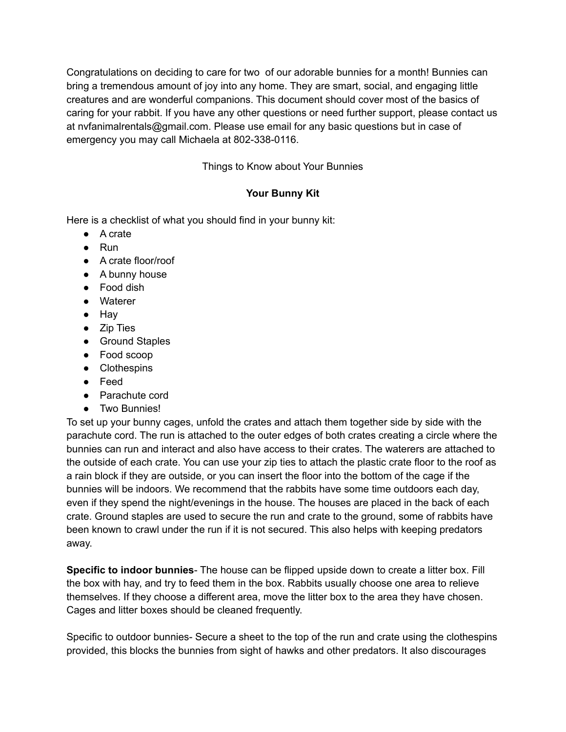Congratulations on deciding to care for two of our adorable bunnies for a month! Bunnies can bring a tremendous amount of joy into any home. They are smart, social, and engaging little creatures and are wonderful companions. This document should cover most of the basics of caring for your rabbit. If you have any other questions or need further support, please contact us at nvfanimalrentals@gmail.com. Please use email for any basic questions but in case of emergency you may call Michaela at 802-338-0116.

Things to Know about Your Bunnies

# **Your Bunny Kit**

Here is a checklist of what you should find in your bunny kit:

- A crate
- Run
- A crate floor/roof
- A bunny house
- Food dish
- Waterer
- Hay
- Zip Ties
- Ground Staples
- Food scoop
- Clothespins
- Feed
- Parachute cord
- Two Bunnies!

To set up your bunny cages, unfold the crates and attach them together side by side with the parachute cord. The run is attached to the outer edges of both crates creating a circle where the bunnies can run and interact and also have access to their crates. The waterers are attached to the outside of each crate. You can use your zip ties to attach the plastic crate floor to the roof as a rain block if they are outside, or you can insert the floor into the bottom of the cage if the bunnies will be indoors. We recommend that the rabbits have some time outdoors each day, even if they spend the night/evenings in the house. The houses are placed in the back of each crate. Ground staples are used to secure the run and crate to the ground, some of rabbits have been known to crawl under the run if it is not secured. This also helps with keeping predators away.

**Specific to indoor bunnies**- The house can be flipped upside down to create a litter box. Fill the box with hay, and try to feed them in the box. Rabbits usually choose one area to relieve themselves. If they choose a different area, move the litter box to the area they have chosen. Cages and litter boxes should be cleaned frequently.

Specific to outdoor bunnies- Secure a sheet to the top of the run and crate using the clothespins provided, this blocks the bunnies from sight of hawks and other predators. It also discourages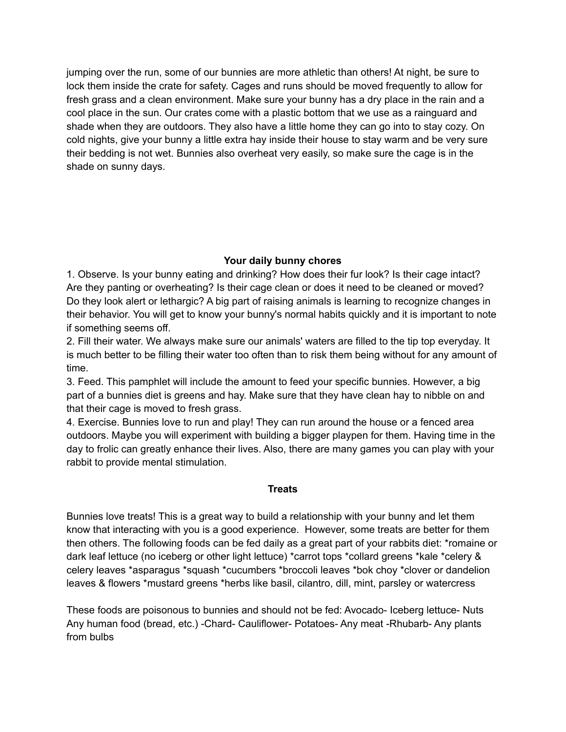jumping over the run, some of our bunnies are more athletic than others! At night, be sure to lock them inside the crate for safety. Cages and runs should be moved frequently to allow for fresh grass and a clean environment. Make sure your bunny has a dry place in the rain and a cool place in the sun. Our crates come with a plastic bottom that we use as a rainguard and shade when they are outdoors. They also have a little home they can go into to stay cozy. On cold nights, give your bunny a little extra hay inside their house to stay warm and be very sure their bedding is not wet. Bunnies also overheat very easily, so make sure the cage is in the shade on sunny days.

### **Your daily bunny chores**

1. Observe. Is your bunny eating and drinking? How does their fur look? Is their cage intact? Are they panting or overheating? Is their cage clean or does it need to be cleaned or moved? Do they look alert or lethargic? A big part of raising animals is learning to recognize changes in their behavior. You will get to know your bunny's normal habits quickly and it is important to note if something seems off.

2. Fill their water. We always make sure our animals' waters are filled to the tip top everyday. It is much better to be filling their water too often than to risk them being without for any amount of time.

3. Feed. This pamphlet will include the amount to feed your specific bunnies. However, a big part of a bunnies diet is greens and hay. Make sure that they have clean hay to nibble on and that their cage is moved to fresh grass.

4. Exercise. Bunnies love to run and play! They can run around the house or a fenced area outdoors. Maybe you will experiment with building a bigger playpen for them. Having time in the day to frolic can greatly enhance their lives. Also, there are many games you can play with your rabbit to provide mental stimulation.

#### **Treats**

Bunnies love treats! This is a great way to build a relationship with your bunny and let them know that interacting with you is a good experience. However, some treats are better for them then others. The following foods can be fed daily as a great part of your rabbits diet: \*romaine or dark leaf lettuce (no iceberg or other light lettuce) \*carrot tops \*collard greens \*kale \*celery & celery leaves \*asparagus \*squash \*cucumbers \*broccoli leaves \*bok choy \*clover or dandelion leaves & flowers \*mustard greens \*herbs like basil, cilantro, dill, mint, parsley or watercress

These foods are poisonous to bunnies and should not be fed: Avocado- Iceberg lettuce- Nuts Any human food (bread, etc.) -Chard- Cauliflower- Potatoes- Any meat -Rhubarb- Any plants from bulbs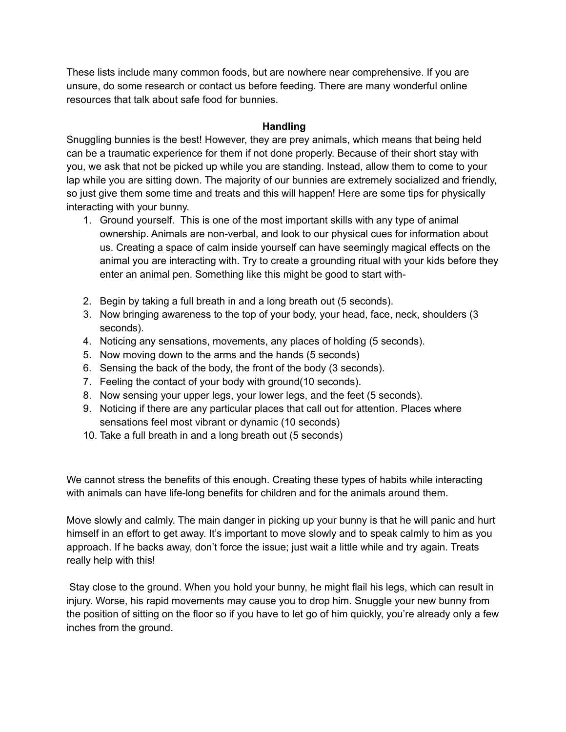These lists include many common foods, but are nowhere near comprehensive. If you are unsure, do some research or contact us before feeding. There are many wonderful online resources that talk about safe food for bunnies.

## **Handling**

Snuggling bunnies is the best! However, they are prey animals, which means that being held can be a traumatic experience for them if not done properly. Because of their short stay with you, we ask that not be picked up while you are standing. Instead, allow them to come to your lap while you are sitting down. The majority of our bunnies are extremely socialized and friendly, so just give them some time and treats and this will happen! Here are some tips for physically interacting with your bunny.

- 1. Ground yourself. This is one of the most important skills with any type of animal ownership. Animals are non-verbal, and look to our physical cues for information about us. Creating a space of calm inside yourself can have seemingly magical effects on the animal you are interacting with. Try to create a grounding ritual with your kids before they enter an animal pen. Something like this might be good to start with-
- 2. Begin by taking a full breath in and a long breath out (5 seconds).
- 3. Now bringing awareness to the top of your body, your head, face, neck, shoulders (3 seconds).
- 4. Noticing any sensations, movements, any places of holding (5 seconds).
- 5. Now moving down to the arms and the hands (5 seconds)
- 6. Sensing the back of the body, the front of the body (3 seconds).
- 7. Feeling the contact of your body with ground(10 seconds).
- 8. Now sensing your upper legs, your lower legs, and the feet (5 seconds).
- 9. Noticing if there are any particular places that call out for attention. Places where sensations feel most vibrant or dynamic (10 seconds)
- 10. Take a full breath in and a long breath out (5 seconds)

We cannot stress the benefits of this enough. Creating these types of habits while interacting with animals can have life-long benefits for children and for the animals around them.

Move slowly and calmly. The main danger in picking up your bunny is that he will panic and hurt himself in an effort to get away. It's important to move slowly and to speak calmly to him as you approach. If he backs away, don't force the issue; just wait a little while and try again. Treats really help with this!

Stay close to the ground. When you hold your bunny, he might flail his legs, which can result in injury. Worse, his rapid movements may cause you to drop him. Snuggle your new bunny from the position of sitting on the floor so if you have to let go of him quickly, you're already only a few inches from the ground.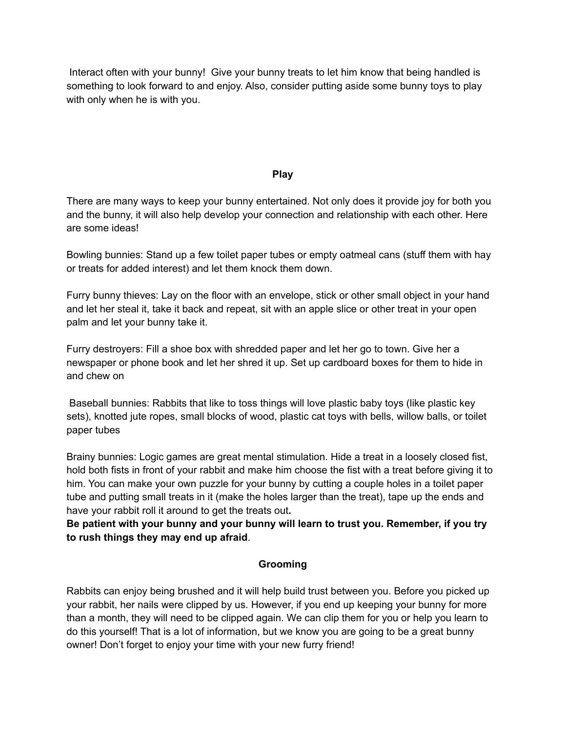Interact often with your bunny! Give your bunny treats to let him know that being handled is something to look forward to and enjoy. Also, consider putting aside some bunny toys to play with only when he is with you.

### **Play**

There are many ways to keep your bunny entertained. Not only does it provide joy for both you and the bunny, it will also help develop your connection and relationship with each other. Here are some ideas!

Bowling bunnies: Stand up a few toilet paper tubes or empty oatmeal cans (stuff them with hay or treats for added interest) and let them knock them down.

Furry bunny thieves: Lay on the floor with an envelope, stick or other small object in your hand and let her steal it, take it back and repeat, sit with an apple slice or other treat in your open palm and let your bunny take it.

Furry destroyers: Fill a shoe box with shredded paper and let her go to town. Give her a newspaper or phone book and let her shred it up. Set up cardboard boxes for them to hide in and chew on

Baseball bunnies: Rabbits that like to toss things will love plastic baby toys (like plastic key sets), knotted jute ropes, small blocks of wood, plastic cat toys with bells, willow balls, or toilet paper tubes

Brainy bunnies: Logic games are great mental stimulation. Hide a treat in a loosely closed fist, hold both fists in front of your rabbit and make him choose the fist with a treat before giving it to him. You can make your own puzzle for your bunny by cutting a couple holes in a toilet paper tube and putting small treats in it (make the holes larger than the treat), tape up the ends and have your rabbit roll it around to get the treats out**.**

**Be patient with your bunny and your bunny will learn to trust you. Remember, if you try to rush things they may end up afraid**.

# **Grooming**

Rabbits can enjoy being brushed and it will help build trust between you. Before you picked up your rabbit, her nails were clipped by us. However, if you end up keeping your bunny for more than a month, they will need to be clipped again. We can clip them for you or help you learn to do this yourself! That is a lot of information, but we know you are going to be a great bunny owner! Don't forget to enjoy your time with your new furry friend!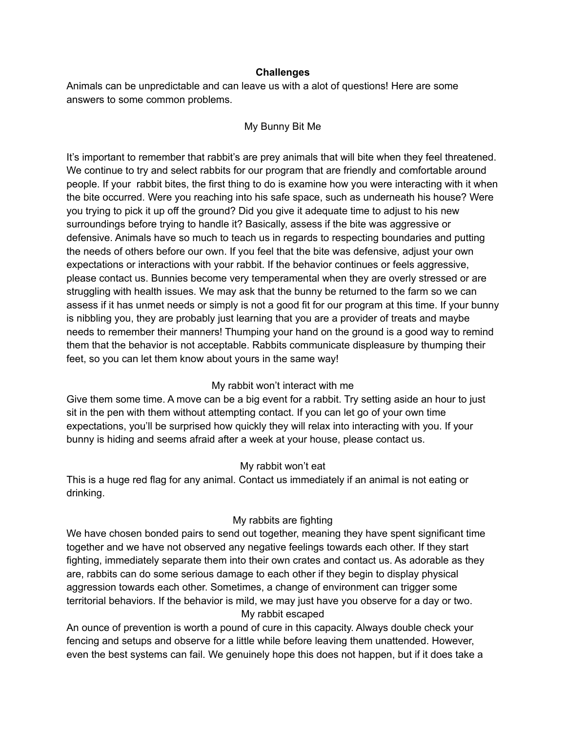#### **Challenges**

Animals can be unpredictable and can leave us with a alot of questions! Here are some answers to some common problems.

## My Bunny Bit Me

It's important to remember that rabbit's are prey animals that will bite when they feel threatened. We continue to try and select rabbits for our program that are friendly and comfortable around people. If your rabbit bites, the first thing to do is examine how you were interacting with it when the bite occurred. Were you reaching into his safe space, such as underneath his house? Were you trying to pick it up off the ground? Did you give it adequate time to adjust to his new surroundings before trying to handle it? Basically, assess if the bite was aggressive or defensive. Animals have so much to teach us in regards to respecting boundaries and putting the needs of others before our own. If you feel that the bite was defensive, adjust your own expectations or interactions with your rabbit. If the behavior continues or feels aggressive, please contact us. Bunnies become very temperamental when they are overly stressed or are struggling with health issues. We may ask that the bunny be returned to the farm so we can assess if it has unmet needs or simply is not a good fit for our program at this time. If your bunny is nibbling you, they are probably just learning that you are a provider of treats and maybe needs to remember their manners! Thumping your hand on the ground is a good way to remind them that the behavior is not acceptable. Rabbits communicate displeasure by thumping their feet, so you can let them know about yours in the same way!

# My rabbit won't interact with me

Give them some time. A move can be a big event for a rabbit. Try setting aside an hour to just sit in the pen with them without attempting contact. If you can let go of your own time expectations, you'll be surprised how quickly they will relax into interacting with you. If your bunny is hiding and seems afraid after a week at your house, please contact us.

#### My rabbit won't eat

This is a huge red flag for any animal. Contact us immediately if an animal is not eating or drinking.

#### My rabbits are fighting

We have chosen bonded pairs to send out together, meaning they have spent significant time together and we have not observed any negative feelings towards each other. If they start fighting, immediately separate them into their own crates and contact us. As adorable as they are, rabbits can do some serious damage to each other if they begin to display physical aggression towards each other. Sometimes, a change of environment can trigger some territorial behaviors. If the behavior is mild, we may just have you observe for a day or two. My rabbit escaped

An ounce of prevention is worth a pound of cure in this capacity. Always double check your fencing and setups and observe for a little while before leaving them unattended. However, even the best systems can fail. We genuinely hope this does not happen, but if it does take a